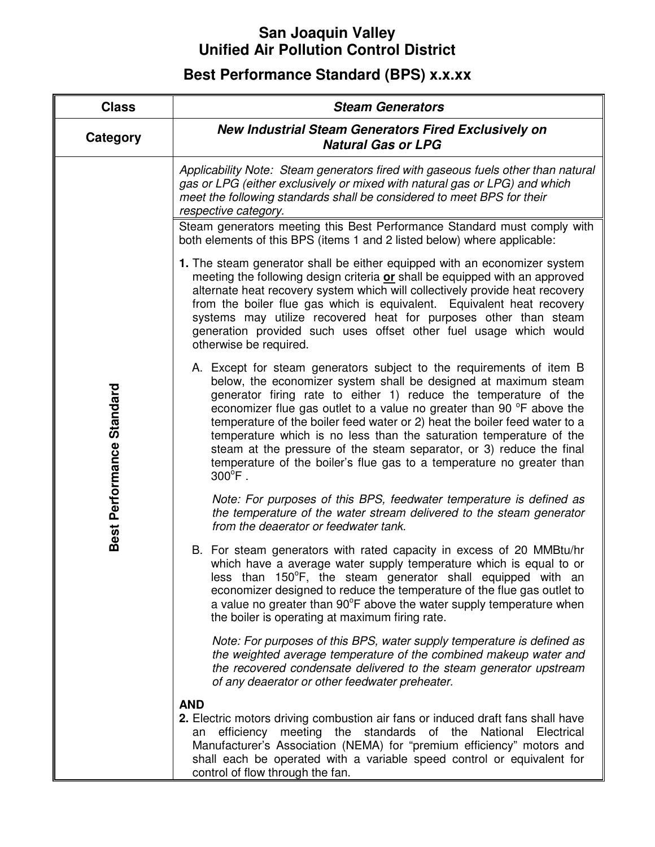## **San Joaquin Valley Unified Air Pollution Control District**

## **Best Performance Standard (BPS) x.x.xx**

| <b>Class</b>              | <b>Steam Generators</b>                                                                                                                                                                                                                                                                                                                                                                                                                                                                                                                                                                                        |  |
|---------------------------|----------------------------------------------------------------------------------------------------------------------------------------------------------------------------------------------------------------------------------------------------------------------------------------------------------------------------------------------------------------------------------------------------------------------------------------------------------------------------------------------------------------------------------------------------------------------------------------------------------------|--|
| Category                  | <b>New Industrial Steam Generators Fired Exclusively on</b><br><b>Natural Gas or LPG</b>                                                                                                                                                                                                                                                                                                                                                                                                                                                                                                                       |  |
| Best Performance Standard | Applicability Note: Steam generators fired with gaseous fuels other than natural<br>gas or LPG (either exclusively or mixed with natural gas or LPG) and which<br>meet the following standards shall be considered to meet BPS for their<br>respective category.                                                                                                                                                                                                                                                                                                                                               |  |
|                           | Steam generators meeting this Best Performance Standard must comply with<br>both elements of this BPS (items 1 and 2 listed below) where applicable:                                                                                                                                                                                                                                                                                                                                                                                                                                                           |  |
|                           | 1. The steam generator shall be either equipped with an economizer system<br>meeting the following design criteria or shall be equipped with an approved<br>alternate heat recovery system which will collectively provide heat recovery<br>from the boiler flue gas which is equivalent. Equivalent heat recovery<br>systems may utilize recovered heat for purposes other than steam<br>generation provided such uses offset other fuel usage which would<br>otherwise be required.                                                                                                                          |  |
|                           | A. Except for steam generators subject to the requirements of item B<br>below, the economizer system shall be designed at maximum steam<br>generator firing rate to either 1) reduce the temperature of the<br>economizer flue gas outlet to a value no greater than 90 °F above the<br>temperature of the boiler feed water or 2) heat the boiler feed water to a<br>temperature which is no less than the saturation temperature of the<br>steam at the pressure of the steam separator, or 3) reduce the final<br>temperature of the boiler's flue gas to a temperature no greater than<br>$300^{\circ}$ F. |  |
|                           | Note: For purposes of this BPS, feedwater temperature is defined as<br>the temperature of the water stream delivered to the steam generator<br>from the deaerator or feedwater tank.                                                                                                                                                                                                                                                                                                                                                                                                                           |  |
|                           | B. For steam generators with rated capacity in excess of 20 MMBtu/hr<br>which have a average water supply temperature which is equal to or<br>less than 150°F, the steam generator shall equipped with an<br>economizer designed to reduce the temperature of the flue gas outlet to<br>a value no greater than 90°F above the water supply temperature when<br>the boiler is operating at maximum firing rate.                                                                                                                                                                                                |  |
|                           | Note: For purposes of this BPS, water supply temperature is defined as<br>the weighted average temperature of the combined makeup water and<br>the recovered condensate delivered to the steam generator upstream<br>of any deaerator or other feedwater preheater.                                                                                                                                                                                                                                                                                                                                            |  |
|                           | <b>AND</b><br>2. Electric motors driving combustion air fans or induced draft fans shall have<br>meeting the standards of the National Electrical<br>efficiency<br>an<br>Manufacturer's Association (NEMA) for "premium efficiency" motors and<br>shall each be operated with a variable speed control or equivalent for<br>control of flow through the fan.                                                                                                                                                                                                                                                   |  |